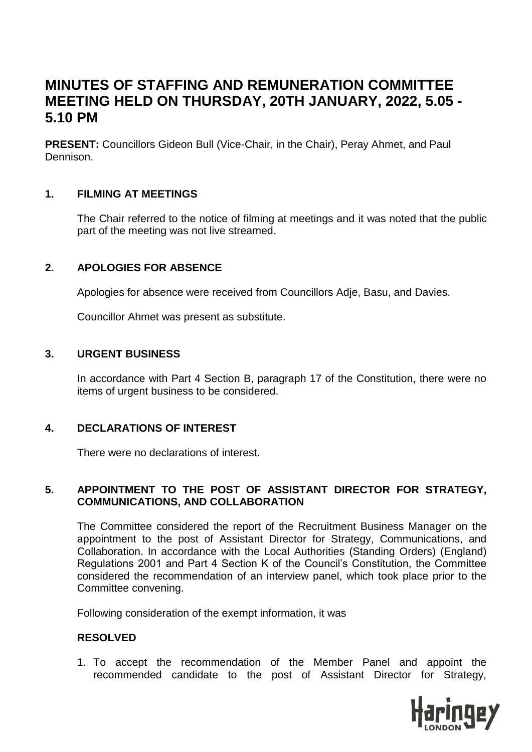# **MINUTES OF STAFFING AND REMUNERATION COMMITTEE MEETING HELD ON THURSDAY, 20TH JANUARY, 2022, 5.05 - 5.10 PM**

**PRESENT:** Councillors Gideon Bull (Vice-Chair, in the Chair), Peray Ahmet, and Paul Dennison.

#### **1. FILMING AT MEETINGS**

The Chair referred to the notice of filming at meetings and it was noted that the public part of the meeting was not live streamed.

### **2. APOLOGIES FOR ABSENCE**

Apologies for absence were received from Councillors Adje, Basu, and Davies.

Councillor Ahmet was present as substitute.

#### **3. URGENT BUSINESS**

In accordance with Part 4 Section B, paragraph 17 of the Constitution, there were no items of urgent business to be considered.

#### **4. DECLARATIONS OF INTEREST**

There were no declarations of interest.

#### **5. APPOINTMENT TO THE POST OF ASSISTANT DIRECTOR FOR STRATEGY, COMMUNICATIONS, AND COLLABORATION**

The Committee considered the report of the Recruitment Business Manager on the appointment to the post of Assistant Director for Strategy, Communications, and Collaboration. In accordance with the Local Authorities (Standing Orders) (England) Regulations 2001 and Part 4 Section K of the Council's Constitution, the Committee considered the recommendation of an interview panel, which took place prior to the Committee convening.

Following consideration of the exempt information, it was

#### **RESOLVED**

1. To accept the recommendation of the Member Panel and appoint the recommended candidate to the post of Assistant Director for Strategy,